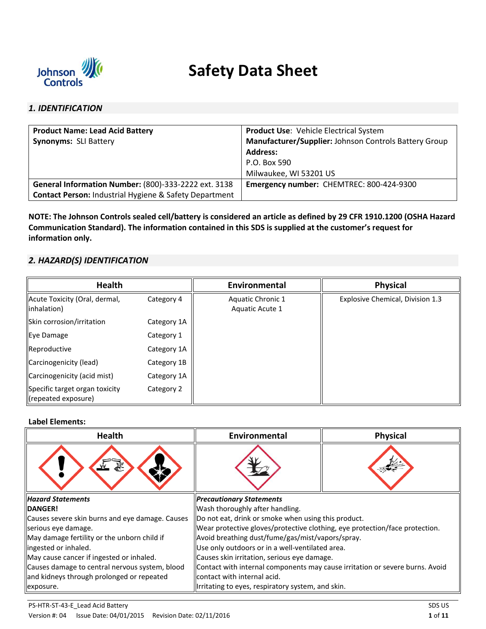

# **Safety Data Sheet**

# *1. IDENTIFICATION*

| <b>Product Name: Lead Acid Battery</b>                            | <b>Product Use: Vehicle Electrical System</b>         |
|-------------------------------------------------------------------|-------------------------------------------------------|
| <b>Synonyms: SLI Battery</b>                                      | Manufacturer/Supplier: Johnson Controls Battery Group |
|                                                                   | <b>Address:</b>                                       |
|                                                                   | P.O. Box 590                                          |
|                                                                   | Milwaukee, WI 53201 US                                |
| General Information Number: (800)-333-2222 ext. 3138              | Emergency number: CHEMTREC: 800-424-9300              |
| <b>Contact Person: Industrial Hygiene &amp; Safety Department</b> |                                                       |

**NOTE: The Johnson Controls sealed cell/battery is considered an article as defined by 29 CFR 1910.1200 (OSHA Hazard Communication Standard). The information contained in this SDS is supplied at the customer's request for information only.** 

# *2. HAZARD(S) IDENTIFICATION*

| <b>Health</b>                                              |             | Environmental                        | <b>Physical</b>                  |
|------------------------------------------------------------|-------------|--------------------------------------|----------------------------------|
| Acute Toxicity (Oral, dermal,<br>linhalation)              | Category 4  | Aquatic Chronic 1<br>Aquatic Acute 1 | Explosive Chemical, Division 1.3 |
| Skin corrosion/irritation                                  | Category 1A |                                      |                                  |
| Eye Damage                                                 | Category 1  |                                      |                                  |
| Reproductive                                               | Category 1A |                                      |                                  |
| Carcinogenicity (lead)                                     | Category 1B |                                      |                                  |
| Carcinogenicity (acid mist)                                | Category 1A |                                      |                                  |
| Specific target organ toxicity<br>$\ $ (repeated exposure) | Category 2  |                                      |                                  |

## **Label Elements:**

| Health                                          | Environmental                                                                | <b>Physical</b> |  |
|-------------------------------------------------|------------------------------------------------------------------------------|-----------------|--|
|                                                 |                                                                              |                 |  |
| <b>Hazard Statements</b>                        | <b>Precautionary Statements</b>                                              |                 |  |
| <b>IDANGER!</b>                                 | Wash thoroughly after handling.                                              |                 |  |
| Causes severe skin burns and eye damage. Causes | Do not eat, drink or smoke when using this product.                          |                 |  |
| serious eye damage.                             | Wear protective gloves/protective clothing, eye protection/face protection.  |                 |  |
| May damage fertility or the unborn child if     | Avoid breathing dust/fume/gas/mist/vapors/spray.                             |                 |  |
| lingested or inhaled.                           | Use only outdoors or in a well-ventilated area.                              |                 |  |
| May cause cancer if ingested or inhaled.        | Causes skin irritation, serious eye damage.                                  |                 |  |
| Causes damage to central nervous system, blood  | Contact with internal components may cause irritation or severe burns. Avoid |                 |  |
| and kidneys through prolonged or repeated       | contact with internal acid.                                                  |                 |  |
| exposure.                                       | Irritating to eyes, respiratory system, and skin.                            |                 |  |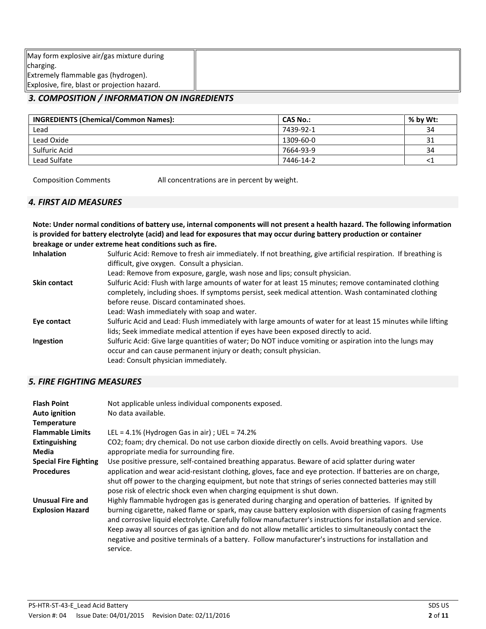| May form explosive air/gas mixture during    |  |
|----------------------------------------------|--|
| charging.                                    |  |
| Extremely flammable gas (hydrogen).          |  |
| Explosive, fire, blast or projection hazard. |  |

# *3. COMPOSITION / INFORMATION ON INGREDIENTS*

| <b>INGREDIENTS (Chemical/Common Names):</b> | <b>CAS No.:</b> | % by Wt: |
|---------------------------------------------|-----------------|----------|
| Lead                                        | 7439-92-1       | 34       |
| Lead Oxide                                  | 1309-60-0       | 31       |
| Sulfuric Acid                               | 7664-93-9       | 34       |
| Lead Sulfate                                | 7446-14-2       |          |

Composition Comments All concentrations are in percent by weight.

# *4. FIRST AID MEASURES*

**Note: Under normal conditions of battery use, internal components will not present a health hazard. The following information is provided for battery electrolyte (acid) and lead for exposures that may occur during battery production or container breakage or under extreme heat conditions such as fire.** 

| <b>Inhalation</b>   | Sulfuric Acid: Remove to fresh air immediately. If not breathing, give artificial respiration. If breathing is |
|---------------------|----------------------------------------------------------------------------------------------------------------|
|                     | difficult, give oxygen. Consult a physician.                                                                   |
|                     | Lead: Remove from exposure, gargle, wash nose and lips; consult physician.                                     |
| <b>Skin contact</b> | Sulfuric Acid: Flush with large amounts of water for at least 15 minutes; remove contaminated clothing         |
|                     | completely, including shoes. If symptoms persist, seek medical attention. Wash contaminated clothing           |
|                     | before reuse. Discard contaminated shoes.                                                                      |
|                     | Lead: Wash immediately with soap and water.                                                                    |
| Eye contact         | Sulfuric Acid and Lead: Flush immediately with large amounts of water for at least 15 minutes while lifting    |
|                     | lids; Seek immediate medical attention if eyes have been exposed directly to acid.                             |
| Ingestion           | Sulfuric Acid: Give large quantities of water; Do NOT induce vomiting or aspiration into the lungs may         |
|                     | occur and can cause permanent injury or death; consult physician.                                              |
|                     | Lead: Consult physician immediately.                                                                           |

# *5. FIRE FIGHTING MEASURES*

| <b>Flash Point</b><br>Auto ignition<br><b>Temperature</b> | Not applicable unless individual components exposed.<br>No data available.                                                                                                                                                                                                                                                                                                                                                                              |
|-----------------------------------------------------------|---------------------------------------------------------------------------------------------------------------------------------------------------------------------------------------------------------------------------------------------------------------------------------------------------------------------------------------------------------------------------------------------------------------------------------------------------------|
| <b>Flammable Limits</b>                                   | LEL = $4.1\%$ (Hydrogen Gas in air) ; UEL = $74.2\%$                                                                                                                                                                                                                                                                                                                                                                                                    |
| <b>Extinguishing</b><br>Media                             | CO2; foam; dry chemical. Do not use carbon dioxide directly on cells. Avoid breathing vapors. Use<br>appropriate media for surrounding fire.                                                                                                                                                                                                                                                                                                            |
| <b>Special Fire Fighting</b>                              | Use positive pressure, self-contained breathing apparatus. Beware of acid splatter during water                                                                                                                                                                                                                                                                                                                                                         |
| <b>Procedures</b>                                         | application and wear acid-resistant clothing, gloves, face and eye protection. If batteries are on charge,<br>shut off power to the charging equipment, but note that strings of series connected batteries may still<br>pose risk of electric shock even when charging equipment is shut down.                                                                                                                                                         |
| <b>Unusual Fire and</b>                                   | Highly flammable hydrogen gas is generated during charging and operation of batteries. If ignited by                                                                                                                                                                                                                                                                                                                                                    |
| <b>Explosion Hazard</b>                                   | burning cigarette, naked flame or spark, may cause battery explosion with dispersion of casing fragments<br>and corrosive liquid electrolyte. Carefully follow manufacturer's instructions for installation and service.<br>Keep away all sources of gas ignition and do not allow metallic articles to simultaneously contact the<br>negative and positive terminals of a battery. Follow manufacturer's instructions for installation and<br>service. |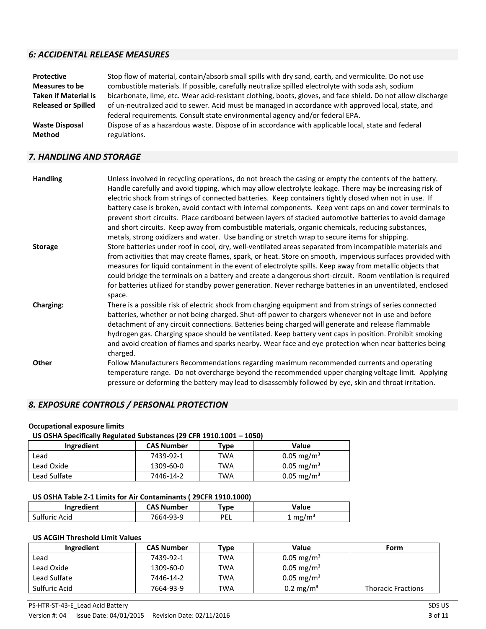# *6: ACCIDENTAL RELEASE MEASURES*

| Protective                  | Stop flow of material, contain/absorb small spills with dry sand, earth, and vermiculite. Do not use         |
|-----------------------------|--------------------------------------------------------------------------------------------------------------|
| <b>Measures to be</b>       | combustible materials. If possible, carefully neutralize spilled electrolyte with soda ash, sodium           |
| <b>Taken if Material is</b> | bicarbonate, lime, etc. Wear acid-resistant clothing, boots, gloves, and face shield. Do not allow discharge |
| <b>Released or Spilled</b>  | of un-neutralized acid to sewer. Acid must be managed in accordance with approved local, state, and          |
|                             | federal requirements. Consult state environmental agency and/or federal EPA.                                 |
| <b>Waste Disposal</b>       | Dispose of as a hazardous waste. Dispose of in accordance with applicable local, state and federal           |
| <b>Method</b>               | regulations.                                                                                                 |

# *7. HANDLING AND STORAGE*

| <b>Handling</b>  | Unless involved in recycling operations, do not breach the casing or empty the contents of the battery.<br>Handle carefully and avoid tipping, which may allow electrolyte leakage. There may be increasing risk of                                                                                                                                                                                                                                                                                                                                                      |
|------------------|--------------------------------------------------------------------------------------------------------------------------------------------------------------------------------------------------------------------------------------------------------------------------------------------------------------------------------------------------------------------------------------------------------------------------------------------------------------------------------------------------------------------------------------------------------------------------|
|                  | electric shock from strings of connected batteries. Keep containers tightly closed when not in use. If<br>battery case is broken, avoid contact with internal components. Keep vent caps on and cover terminals to<br>prevent short circuits. Place cardboard between layers of stacked automotive batteries to avoid damage<br>and short circuits. Keep away from combustible materials, organic chemicals, reducing substances,                                                                                                                                        |
|                  | metals, strong oxidizers and water. Use banding or stretch wrap to secure items for shipping.                                                                                                                                                                                                                                                                                                                                                                                                                                                                            |
| <b>Storage</b>   | Store batteries under roof in cool, dry, well-ventilated areas separated from incompatible materials and<br>from activities that may create flames, spark, or heat. Store on smooth, impervious surfaces provided with<br>measures for liquid containment in the event of electrolyte spills. Keep away from metallic objects that<br>could bridge the terminals on a battery and create a dangerous short-circuit. Room ventilation is required<br>for batteries utilized for standby power generation. Never recharge batteries in an unventilated, enclosed<br>space. |
| <b>Charging:</b> | There is a possible risk of electric shock from charging equipment and from strings of series connected<br>batteries, whether or not being charged. Shut-off power to chargers whenever not in use and before<br>detachment of any circuit connections. Batteries being charged will generate and release flammable<br>hydrogen gas. Charging space should be ventilated. Keep battery vent caps in position. Prohibit smoking<br>and avoid creation of flames and sparks nearby. Wear face and eye protection when near batteries being<br>charged.                     |
| Other            | Follow Manufacturers Recommendations regarding maximum recommended currents and operating<br>temperature range. Do not overcharge beyond the recommended upper charging voltage limit. Applying<br>pressure or deforming the battery may lead to disassembly followed by eye, skin and throat irritation.                                                                                                                                                                                                                                                                |

# *8. EXPOSURE CONTROLS / PERSONAL PROTECTION*

## **Occupational exposure limits**

## **US OSHA Specifically Regulated Substances (29 CFR 1910.1001 – 1050)**

| Ingredient   | <b>CAS Number</b> | Type | Value                    |
|--------------|-------------------|------|--------------------------|
| Lead         | 7439-92-1         | TWA  | $0.05 \text{ mg/m}^3$    |
| Lead Oxide   | 1309-60-0         | TWA  | $0.05 \text{ mg/m}^3$    |
| Lead Sulfate | 7446-14-2         | TWA  | $0.05 \,\mathrm{mg/m^3}$ |

## **US OSHA Table Z-1 Limits for Air Contaminants ( 29CFR 1910.1000)**

| Ingredient    | <b>CAS Number</b> | 'ype | Value              |
|---------------|-------------------|------|--------------------|
| Sulfuric Acid | 7664-93-9         | PEL  | $1 \text{ mg/m}^3$ |

# **US ACGIH Threshold Limit Values**

| Ingredient    | <b>CAS Number</b> | Type       | <b>Value</b>             | Form                      |
|---------------|-------------------|------------|--------------------------|---------------------------|
| Lead          | 7439-92-1         | <b>TWA</b> | $0.05 \text{ mg/m}^3$    |                           |
| Lead Oxide    | 1309-60-0         | <b>TWA</b> | $0.05 \,\mathrm{mg/m^3}$ |                           |
| Lead Sulfate  | 7446-14-2         | <b>TWA</b> | $0.05 \text{ mg/m}^3$    |                           |
| Sulfuric Acid | 7664-93-9         | <b>TWA</b> | $0.2 \text{ mg/m}^3$     | <b>Thoracic Fractions</b> |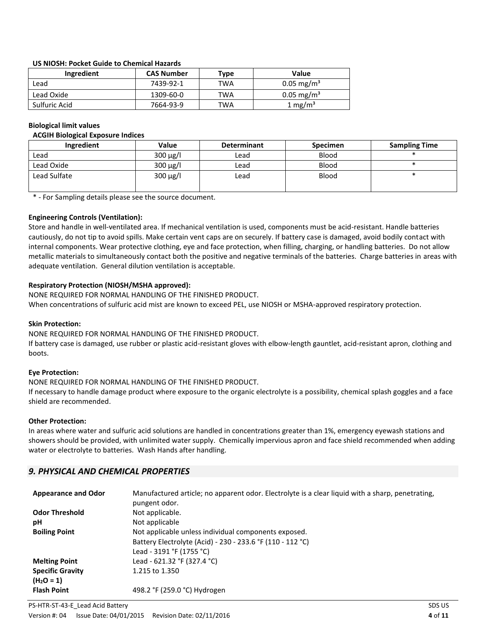## **US NIOSH: Pocket Guide to Chemical Hazards**

| Ingredient    | <b>CAS Number</b> | Type | Value                    |
|---------------|-------------------|------|--------------------------|
| Lead          | 7439-92-1         | TWA  | $0.05 \text{ mg/m}^3$    |
| Lead Oxide    | 1309-60-0         | TWA  | $0.05 \,\mathrm{mg/m^3}$ |
| Sulfuric Acid | 7664-93-9         | TWA  | 1 mg/m <sup>3</sup>      |

#### **Biological limit values**

#### **ACGIH Biological Exposure Indices**

| Ingredient   | <b>Value</b>  | <b>Determinant</b> | <b>Specimen</b> | <b>Sampling Time</b> |
|--------------|---------------|--------------------|-----------------|----------------------|
| Lead         | $300 \mu g/l$ | Lead               | <b>Blood</b>    |                      |
| Lead Oxide   | $300 \mu g/l$ | Lead               | <b>Blood</b>    |                      |
| Lead Sulfate | $300 \mu g/l$ | Lead               | <b>Blood</b>    |                      |

\* - For Sampling details please see the source document.

## **Engineering Controls (Ventilation):**

Store and handle in well-ventilated area. If mechanical ventilation is used, components must be acid-resistant. Handle batteries cautiously, do not tip to avoid spills. Make certain vent caps are on securely. If battery case is damaged, avoid bodily contact with internal components. Wear protective clothing, eye and face protection, when filling, charging, or handling batteries. Do not allow metallic materials to simultaneously contact both the positive and negative terminals of the batteries. Charge batteries in areas with adequate ventilation. General dilution ventilation is acceptable.

## **Respiratory Protection (NIOSH/MSHA approved):**

NONE REQUIRED FOR NORMAL HANDLING OF THE FINISHED PRODUCT. When concentrations of sulfuric acid mist are known to exceed PEL, use NIOSH or MSHA-approved respiratory protection.

#### **Skin Protection:**

NONE REQUIRED FOR NORMAL HANDLING OF THE FINISHED PRODUCT.

If battery case is damaged, use rubber or plastic acid-resistant gloves with elbow-length gauntlet, acid-resistant apron, clothing and boots.

#### **Eye Protection:**

NONE REQUIRED FOR NORMAL HANDLING OF THE FINISHED PRODUCT.

If necessary to handle damage product where exposure to the organic electrolyte is a possibility, chemical splash goggles and a face shield are recommended.

#### **Other Protection:**

In areas where water and sulfuric acid solutions are handled in concentrations greater than 1%, emergency eyewash stations and showers should be provided, with unlimited water supply. Chemically impervious apron and face shield recommended when adding water or electrolyte to batteries. Wash Hands after handling.

# *9. PHYSICAL AND CHEMICAL PROPERTIES*

| <b>Appearance and Odor</b> | Manufactured article; no apparent odor. Electrolyte is a clear liquid with a sharp, penetrating,<br>pungent odor. |
|----------------------------|-------------------------------------------------------------------------------------------------------------------|
| <b>Odor Threshold</b>      | Not applicable.                                                                                                   |
| рH                         | Not applicable                                                                                                    |
| <b>Boiling Point</b>       | Not applicable unless individual components exposed.                                                              |
|                            | Battery Electrolyte (Acid) - 230 - 233.6 °F (110 - 112 °C)                                                        |
|                            | Lead - 3191 °F (1755 °C)                                                                                          |
| <b>Melting Point</b>       | Lead - 621.32 °F (327.4 °C)                                                                                       |
| <b>Specific Gravity</b>    | 1.215 to 1.350                                                                                                    |
| $(H2O = 1)$                |                                                                                                                   |
| <b>Flash Point</b>         | 498.2 °F (259.0 °C) Hydrogen                                                                                      |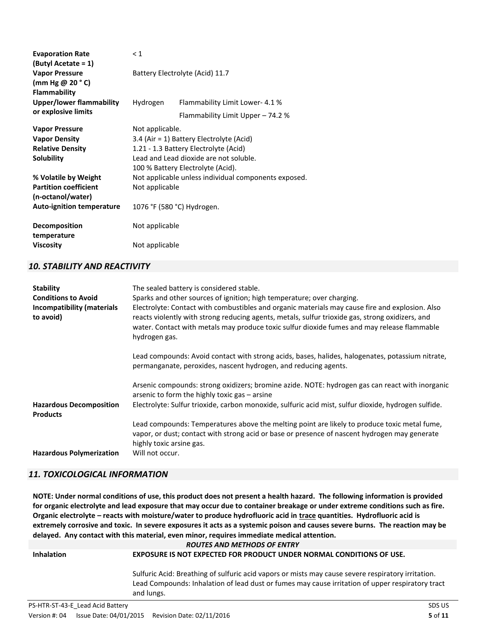| <b>Evaporation Rate</b>             | $\leq 1$                                             |                                          |  |
|-------------------------------------|------------------------------------------------------|------------------------------------------|--|
| (Butyl Acetate = 1)                 |                                                      |                                          |  |
| <b>Vapor Pressure</b>               | Battery Electrolyte (Acid) 11.7                      |                                          |  |
| (mm Hg @ 20 $^{\circ}$ C)           |                                                      |                                          |  |
| Flammability                        |                                                      |                                          |  |
| <b>Upper/lower flammability</b>     | Hydrogen                                             | Flammability Limit Lower- 4.1 %          |  |
| or explosive limits                 |                                                      | Flammability Limit Upper - 74.2 %        |  |
| <b>Vapor Pressure</b>               | Not applicable.                                      |                                          |  |
| <b>Vapor Density</b>                |                                                      | 3.4 (Air = 1) Battery Electrolyte (Acid) |  |
| <b>Relative Density</b>             |                                                      | 1.21 - 1.3 Battery Electrolyte (Acid)    |  |
| <b>Solubility</b>                   | Lead and Lead dioxide are not soluble.               |                                          |  |
|                                     |                                                      | 100 % Battery Electrolyte (Acid).        |  |
| % Volatile by Weight                | Not applicable unless individual components exposed. |                                          |  |
| <b>Partition coefficient</b>        | Not applicable                                       |                                          |  |
| (n-octanol/water)                   |                                                      |                                          |  |
| <b>Auto-ignition temperature</b>    | 1076 °F (580 °C) Hydrogen.                           |                                          |  |
| <b>Decomposition</b><br>temperature | Not applicable                                       |                                          |  |
| <b>Viscosity</b>                    | Not applicable                                       |                                          |  |

# *10. STABILITY AND REACTIVITY*

| <b>Stability</b><br><b>Conditions to Avoid</b><br><b>Incompatibility (materials</b><br>to avoid) | The sealed battery is considered stable.<br>Sparks and other sources of ignition; high temperature; over charging.<br>Electrolyte: Contact with combustibles and organic materials may cause fire and explosion. Also<br>reacts violently with strong reducing agents, metals, sulfur trioxide gas, strong oxidizers, and<br>water. Contact with metals may produce toxic sulfur dioxide fumes and may release flammable<br>hydrogen gas. |
|--------------------------------------------------------------------------------------------------|-------------------------------------------------------------------------------------------------------------------------------------------------------------------------------------------------------------------------------------------------------------------------------------------------------------------------------------------------------------------------------------------------------------------------------------------|
|                                                                                                  | Lead compounds: Avoid contact with strong acids, bases, halides, halogenates, potassium nitrate,<br>permanganate, peroxides, nascent hydrogen, and reducing agents.                                                                                                                                                                                                                                                                       |
| <b>Hazardous Decomposition</b>                                                                   | Arsenic compounds: strong oxidizers; bromine azide. NOTE: hydrogen gas can react with inorganic<br>arsenic to form the highly toxic gas $-$ arsine<br>Electrolyte: Sulfur trioxide, carbon monoxide, sulfuric acid mist, sulfur dioxide, hydrogen sulfide.                                                                                                                                                                                |
| <b>Products</b>                                                                                  |                                                                                                                                                                                                                                                                                                                                                                                                                                           |
|                                                                                                  | Lead compounds: Temperatures above the melting point are likely to produce toxic metal fume,<br>vapor, or dust; contact with strong acid or base or presence of nascent hydrogen may generate<br>highly toxic arsine gas.                                                                                                                                                                                                                 |
| <b>Hazardous Polymerization</b>                                                                  | Will not occur.                                                                                                                                                                                                                                                                                                                                                                                                                           |

# *11. TOXICOLOGICAL INFORMATION*

**NOTE: Under normal conditions of use, this product does not present a health hazard. The following information is provided for organic electrolyte and lead exposure that may occur due to container breakage or under extreme conditions such as fire. Organic electrolyte – reacts with moisture/water to produce hydrofluoric acid in trace quantities. Hydrofluoric acid is extremely corrosive and toxic. In severe exposures it acts as a systemic poison and causes severe burns. The reaction may be delayed. Any contact with this material, even minor, requires immediate medical attention.**

#### *ROUTES AND METHODS OF ENTRY*

# **Inhalation EXPOSURE IS NOT EXPECTED FOR PRODUCT UNDER NORMAL CONDITIONS OF USE.**

Sulfuric Acid: Breathing of sulfuric acid vapors or mists may cause severe respiratory irritation. Lead Compounds: Inhalation of lead dust or fumes may cause irritation of upper respiratory tract and lungs.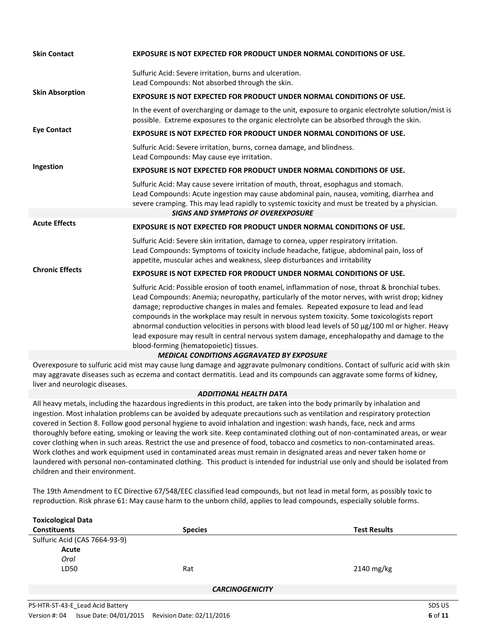| <b>Skin Contact</b>    | EXPOSURE IS NOT EXPECTED FOR PRODUCT UNDER NORMAL CONDITIONS OF USE.                                                                                                                                                                                                                                                                                                                                                                                                                                                                                                                                                                    |
|------------------------|-----------------------------------------------------------------------------------------------------------------------------------------------------------------------------------------------------------------------------------------------------------------------------------------------------------------------------------------------------------------------------------------------------------------------------------------------------------------------------------------------------------------------------------------------------------------------------------------------------------------------------------------|
|                        | Sulfuric Acid: Severe irritation, burns and ulceration.<br>Lead Compounds: Not absorbed through the skin.                                                                                                                                                                                                                                                                                                                                                                                                                                                                                                                               |
| <b>Skin Absorption</b> | <b>EXPOSURE IS NOT EXPECTED FOR PRODUCT UNDER NORMAL CONDITIONS OF USE.</b>                                                                                                                                                                                                                                                                                                                                                                                                                                                                                                                                                             |
|                        | In the event of overcharging or damage to the unit, exposure to organic electrolyte solution/mist is<br>possible. Extreme exposures to the organic electrolyte can be absorbed through the skin.                                                                                                                                                                                                                                                                                                                                                                                                                                        |
| <b>Eye Contact</b>     | <b>EXPOSURE IS NOT EXPECTED FOR PRODUCT UNDER NORMAL CONDITIONS OF USE.</b>                                                                                                                                                                                                                                                                                                                                                                                                                                                                                                                                                             |
|                        | Sulfuric Acid: Severe irritation, burns, cornea damage, and blindness.<br>Lead Compounds: May cause eye irritation.                                                                                                                                                                                                                                                                                                                                                                                                                                                                                                                     |
| Ingestion              | <b>EXPOSURE IS NOT EXPECTED FOR PRODUCT UNDER NORMAL CONDITIONS OF USE.</b>                                                                                                                                                                                                                                                                                                                                                                                                                                                                                                                                                             |
|                        | Sulfuric Acid: May cause severe irritation of mouth, throat, esophagus and stomach.<br>Lead Compounds: Acute ingestion may cause abdominal pain, nausea, vomiting, diarrhea and<br>severe cramping. This may lead rapidly to systemic toxicity and must be treated by a physician.                                                                                                                                                                                                                                                                                                                                                      |
|                        | <b>SIGNS AND SYMPTONS OF OVEREXPOSURE</b>                                                                                                                                                                                                                                                                                                                                                                                                                                                                                                                                                                                               |
| <b>Acute Effects</b>   | <b>EXPOSURE IS NOT EXPECTED FOR PRODUCT UNDER NORMAL CONDITIONS OF USE.</b>                                                                                                                                                                                                                                                                                                                                                                                                                                                                                                                                                             |
|                        | Sulfuric Acid: Severe skin irritation, damage to cornea, upper respiratory irritation.<br>Lead Compounds: Symptoms of toxicity include headache, fatigue, abdominal pain, loss of<br>appetite, muscular aches and weakness, sleep disturbances and irritability                                                                                                                                                                                                                                                                                                                                                                         |
| <b>Chronic Effects</b> | <b>EXPOSURE IS NOT EXPECTED FOR PRODUCT UNDER NORMAL CONDITIONS OF USE.</b>                                                                                                                                                                                                                                                                                                                                                                                                                                                                                                                                                             |
|                        | Sulfuric Acid: Possible erosion of tooth enamel, inflammation of nose, throat & bronchial tubes.<br>Lead Compounds: Anemia; neuropathy, particularly of the motor nerves, with wrist drop; kidney<br>damage; reproductive changes in males and females. Repeated exposure to lead and lead<br>compounds in the workplace may result in nervous system toxicity. Some toxicologists report<br>abnormal conduction velocities in persons with blood lead levels of 50 µg/100 ml or higher. Heavy<br>lead exposure may result in central nervous system damage, encephalopathy and damage to the<br>blood-forming (hematopoietic) tissues. |
|                        | <b>MEDICAL CONDITIONS AGGRAVATED BY EXPOSURE</b>                                                                                                                                                                                                                                                                                                                                                                                                                                                                                                                                                                                        |

Overexposure to sulfuric acid mist may cause lung damage and aggravate pulmonary conditions. Contact of sulfuric acid with skin may aggravate diseases such as eczema and contact dermatitis. Lead and its compounds can aggravate some forms of kidney, liver and neurologic diseases.

# *ADDITIONAL HEALTH DATA*

All heavy metals, including the hazardous ingredients in this product, are taken into the body primarily by inhalation and ingestion. Most inhalation problems can be avoided by adequate precautions such as ventilation and respiratory protection covered in Section 8. Follow good personal hygiene to avoid inhalation and ingestion: wash hands, face, neck and arms thoroughly before eating, smoking or leaving the work site. Keep contaminated clothing out of non-contaminated areas, or wear cover clothing when in such areas. Restrict the use and presence of food, tobacco and cosmetics to non-contaminated areas. Work clothes and work equipment used in contaminated areas must remain in designated areas and never taken home or laundered with personal non-contaminated clothing. This product is intended for industrial use only and should be isolated from children and their environment.

The 19th Amendment to EC Directive 67/548/EEC classified lead compounds, but not lead in metal form, as possibly toxic to reproduction. Risk phrase 61: May cause harm to the unborn child, applies to lead compounds, especially soluble forms.

| <b>Toxicological Data</b>        |                        |                     |
|----------------------------------|------------------------|---------------------|
| <b>Constituents</b>              | <b>Species</b>         | <b>Test Results</b> |
| Sulfuric Acid (CAS 7664-93-9)    |                        |                     |
| Acute                            |                        |                     |
| Oral                             |                        |                     |
| LD50                             | Rat                    | 2140 mg/kg          |
|                                  |                        |                     |
|                                  | <b>CARCINOGENICITY</b> |                     |
|                                  |                        |                     |
| PS-HTR-ST-43-E Lead Acid Battery |                        | SDS US              |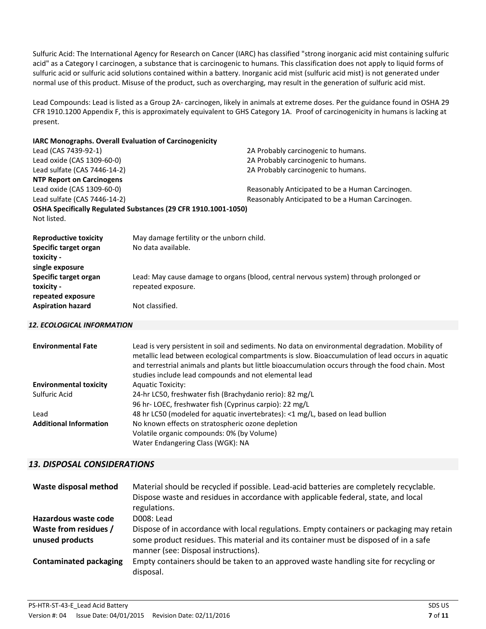Sulfuric Acid: The International Agency for Research on Cancer (IARC) has classified "strong inorganic acid mist containing sulfuric acid" as a Category I carcinogen, a substance that is carcinogenic to humans. This classification does not apply to liquid forms of sulfuric acid or sulfuric acid solutions contained within a battery. Inorganic acid mist (sulfuric acid mist) is not generated under normal use of this product. Misuse of the product, such as overcharging, may result in the generation of sulfuric acid mist.

Lead Compounds: Lead is listed as a Group 2A- carcinogen, likely in animals at extreme doses. Per the guidance found in OSHA 29 CFR 1910.1200 Appendix F, this is approximately equivalent to GHS Category 1A. Proof of carcinogenicity in humans is lacking at present.

| <b>IARC Monographs. Overall Evaluation of Carcinogenicity</b> |                                                                |                                                                                       |
|---------------------------------------------------------------|----------------------------------------------------------------|---------------------------------------------------------------------------------------|
| Lead (CAS 7439-92-1)                                          |                                                                | 2A Probably carcinogenic to humans.                                                   |
| Lead oxide (CAS 1309-60-0)                                    |                                                                | 2A Probably carcinogenic to humans.                                                   |
| Lead sulfate (CAS 7446-14-2)                                  |                                                                | 2A Probably carcinogenic to humans.                                                   |
| <b>NTP Report on Carcinogens</b>                              |                                                                |                                                                                       |
| Lead oxide (CAS 1309-60-0)                                    |                                                                | Reasonably Anticipated to be a Human Carcinogen.                                      |
| Lead sulfate (CAS 7446-14-2)                                  |                                                                | Reasonably Anticipated to be a Human Carcinogen.                                      |
|                                                               | OSHA Specifically Regulated Substances (29 CFR 1910.1001-1050) |                                                                                       |
| Not listed.                                                   |                                                                |                                                                                       |
| <b>Reproductive toxicity</b>                                  | May damage fertility or the unborn child.                      |                                                                                       |
| Specific target organ                                         | No data available.                                             |                                                                                       |
| toxicity -                                                    |                                                                |                                                                                       |
| single exposure                                               |                                                                |                                                                                       |
| Specific target organ                                         |                                                                | Lead: May cause damage to organs (blood, central nervous system) through prolonged or |
| toxicity -                                                    | repeated exposure.                                             |                                                                                       |
| repeated exposure                                             |                                                                |                                                                                       |
| <b>Aspiration hazard</b>                                      | Not classified.                                                |                                                                                       |

#### *12. ECOLOGICAL INFORMATION*

| <b>Environmental Fate</b>     | Lead is very persistent in soil and sediments. No data on environmental degradation. Mobility of<br>metallic lead between ecological compartments is slow. Bioaccumulation of lead occurs in aquatic<br>and terrestrial animals and plants but little bioaccumulation occurs through the food chain. Most<br>studies include lead compounds and not elemental lead |
|-------------------------------|--------------------------------------------------------------------------------------------------------------------------------------------------------------------------------------------------------------------------------------------------------------------------------------------------------------------------------------------------------------------|
| <b>Environmental toxicity</b> | <b>Aquatic Toxicity:</b>                                                                                                                                                                                                                                                                                                                                           |
| Sulfuric Acid                 | 24-hr LC50, freshwater fish (Brachydanio rerio): 82 mg/L                                                                                                                                                                                                                                                                                                           |
|                               | 96 hr-LOEC, freshwater fish (Cyprinus carpio): 22 mg/L                                                                                                                                                                                                                                                                                                             |
| Lead                          | 48 hr LC50 (modeled for aquatic invertebrates): <1 mg/L, based on lead bullion                                                                                                                                                                                                                                                                                     |
| <b>Additional Information</b> | No known effects on stratospheric ozone depletion                                                                                                                                                                                                                                                                                                                  |
|                               | Volatile organic compounds: 0% (by Volume)                                                                                                                                                                                                                                                                                                                         |
|                               | Water Endangering Class (WGK): NA                                                                                                                                                                                                                                                                                                                                  |

# *13. DISPOSAL CONSIDERATIONS*

| Waste disposal method                    | Material should be recycled if possible. Lead-acid batteries are completely recyclable.<br>Dispose waste and residues in accordance with applicable federal, state, and local<br>regulations.                             |
|------------------------------------------|---------------------------------------------------------------------------------------------------------------------------------------------------------------------------------------------------------------------------|
| Hazardous waste code                     | D008: Lead                                                                                                                                                                                                                |
| Waste from residues /<br>unused products | Dispose of in accordance with local regulations. Empty containers or packaging may retain<br>some product residues. This material and its container must be disposed of in a safe<br>manner (see: Disposal instructions). |
| <b>Contaminated packaging</b>            | Empty containers should be taken to an approved waste handling site for recycling or<br>disposal.                                                                                                                         |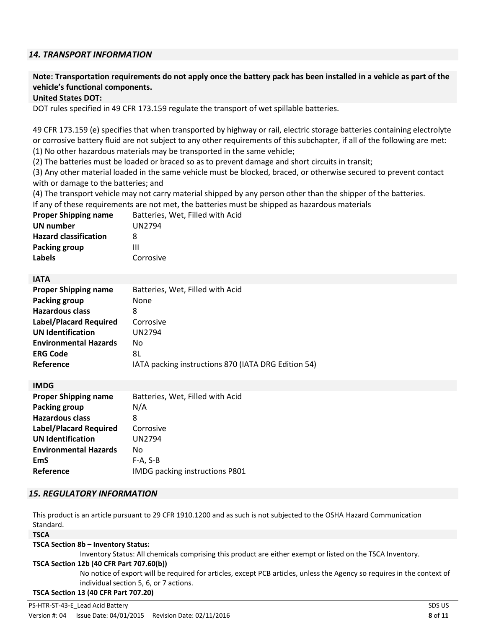# *14. TRANSPORT INFORMATION*

# **Note: Transportation requirements do not apply once the battery pack has been installed in a vehicle as part of the vehicle's functional components.**

# **United States DOT:**

DOT rules specified in 49 CFR 173.159 regulate the transport of wet spillable batteries.

49 CFR 173.159 (e) specifies that when transported by highway or rail, electric storage batteries containing electrolyte or corrosive battery fluid are not subject to any other requirements of this subchapter, if all of the following are met: (1) No other hazardous materials may be transported in the same vehicle;

(2) The batteries must be loaded or braced so as to prevent damage and short circuits in transit;

(3) Any other material loaded in the same vehicle must be blocked, braced, or otherwise secured to prevent contact with or damage to the batteries; and

(4) The transport vehicle may not carry material shipped by any person other than the shipper of the batteries. If any of these requirements are not met, the batteries must be shipped as hazardous materials

| <b>Proper Shipping name</b>  | Batteries, Wet, Filled with Acid |
|------------------------------|----------------------------------|
| <b>UN number</b>             | UN2794                           |
| <b>Hazard classification</b> | 8                                |
| <b>Packing group</b>         | Ш                                |
| <b>Labels</b>                | Corrosive                        |

## **IATA**

| <b>Proper Shipping name</b>   | Batteries, Wet, Filled with Acid                    |
|-------------------------------|-----------------------------------------------------|
| <b>Packing group</b>          | None                                                |
| <b>Hazardous class</b>        | 8                                                   |
| <b>Label/Placard Required</b> | Corrosive                                           |
| <b>UN Identification</b>      | <b>UN2794</b>                                       |
| <b>Environmental Hazards</b>  | No                                                  |
| <b>ERG Code</b>               | 8L                                                  |
| Reference                     | IATA packing instructions 870 (IATA DRG Edition 54) |

| IMDG packing instructions P801   |
|----------------------------------|
| Batteries, Wet, Filled with Acid |

## *15. REGULATORY INFORMATION*

This product is an article pursuant to 29 CFR 1910.1200 and as such is not subjected to the OSHA Hazard Communication Standard.

#### **TSCA**

#### **TSCA Section 8b – Inventory Status:**

Inventory Status: All chemicals comprising this product are either exempt or listed on the TSCA Inventory.

## **TSCA Section 12b (40 CFR Part 707.60(b))**

No notice of export will be required for articles, except PCB articles, unless the Agency so requires in the context of individual section 5, 6, or 7 actions.

**TSCA Section 13 (40 CFR Part 707.20)**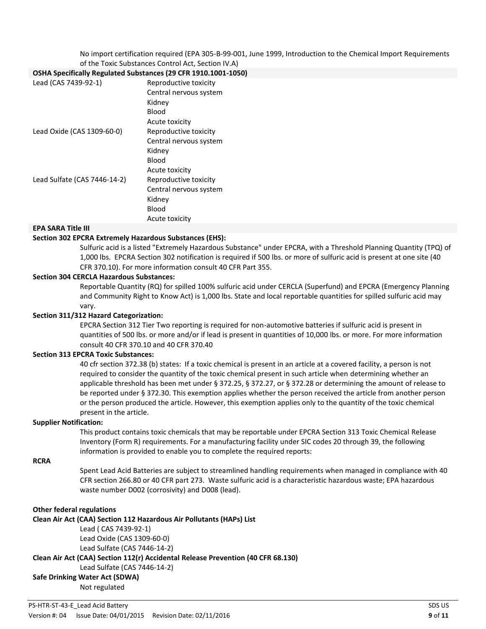No import certification required (EPA 305-B-99-001, June 1999, Introduction to the Chemical Import Requirements

#### of the Toxic Substances Control Act, Section IV.A) **OSHA Specifically Regulated Substances (29 CFR 1910.1001-1050)**

| OSHA Specifically Regulated Substances (29 CFR 1910.1001-1) |                        |
|-------------------------------------------------------------|------------------------|
| Lead (CAS 7439-92-1)                                        | Reproductive toxicity  |
|                                                             | Central nervous system |
|                                                             | Kidney                 |
|                                                             | Blood                  |
|                                                             | Acute toxicity         |
| Lead Oxide (CAS 1309-60-0)                                  | Reproductive toxicity  |
|                                                             | Central nervous system |
|                                                             | Kidney                 |
|                                                             | Blood                  |
|                                                             | Acute toxicity         |
| Lead Sulfate (CAS 7446-14-2)                                | Reproductive toxicity  |
|                                                             | Central nervous system |
|                                                             | Kidney                 |
|                                                             | Blood                  |
|                                                             | Acute toxicity         |

## **EPA SARA Title III**

## **Section 302 EPCRA Extremely Hazardous Substances (EHS):**

Sulfuric acid is a listed "Extremely Hazardous Substance" under EPCRA, with a Threshold Planning Quantity (TPQ) of 1,000 lbs. EPCRA Section 302 notification is required if 500 lbs. or more of sulfuric acid is present at one site (40 CFR 370.10). For more information consult 40 CFR Part 355.

## **Section 304 CERCLA Hazardous Substances:**

Reportable Quantity (RQ) for spilled 100% sulfuric acid under CERCLA (Superfund) and EPCRA (Emergency Planning and Community Right to Know Act) is 1,000 lbs. State and local reportable quantities for spilled sulfuric acid may vary.

## **Section 311/312 Hazard Categorization:**

EPCRA Section 312 Tier Two reporting is required for non-automotive batteries if sulfuric acid is present in quantities of 500 lbs. or more and/or if lead is present in quantities of 10,000 lbs. or more. For more information consult 40 CFR 370.10 and 40 CFR 370.40

## **Section 313 EPCRA Toxic Substances:**

40 cfr section 372.38 (b) states: If a toxic chemical is present in an article at a covered facility, a person is not required to consider the quantity of the toxic chemical present in such article when determining whether an applicable threshold has been met under § 372.25, § 372.27, or § 372.28 or determining the amount of release to be reported under § 372.30. This exemption applies whether the person received the article from another person or the person produced the article. However, this exemption applies only to the quantity of the toxic chemical present in the article.

## **Supplier Notification:**

This product contains toxic chemicals that may be reportable under EPCRA Section 313 Toxic Chemical Release Inventory (Form R) requirements. For a manufacturing facility under SIC codes 20 through 39, the following information is provided to enable you to complete the required reports:

## **RCRA**

Spent Lead Acid Batteries are subject to streamlined handling requirements when managed in compliance with 40 CFR section 266.80 or 40 CFR part 273. Waste sulfuric acid is a characteristic hazardous waste; EPA hazardous waste number D002 (corrosivity) and D008 (lead).

#### **Other federal regulations**

**Clean Air Act (CAA) Section 112 Hazardous Air Pollutants (HAPs) List**  Lead ( CAS 7439-92-1) Lead Oxide (CAS 1309-60-0) Lead Sulfate (CAS 7446-14-2) **Clean Air Act (CAA) Section 112(r) Accidental Release Prevention (40 CFR 68.130)** Lead Sulfate (CAS 7446-14-2) **Safe Drinking Water Act (SDWA)** Not regulated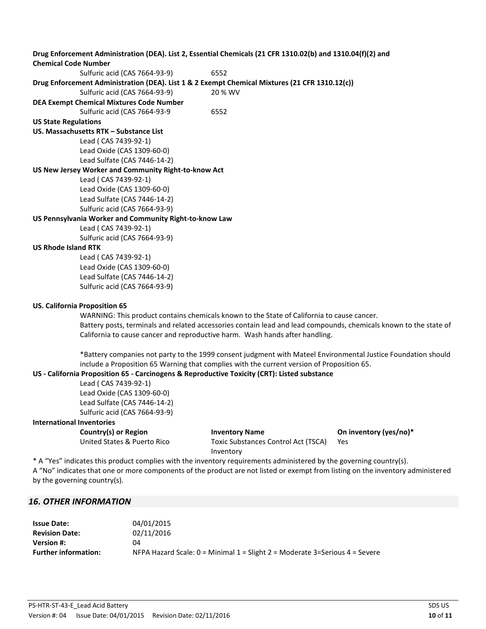**Drug Enforcement Administration (DEA). List 2, Essential Chemicals (21 CFR 1310.02(b) and 1310.04(f)(2) and Chemical Code Number** Sulfuric acid (CAS 7664-93-9) 6552 **Drug Enforcement Administration (DEA). List 1 & 2 Exempt Chemical Mixtures (21 CFR 1310.12(c))** Sulfuric acid (CAS 7664-93-9) 20 % WV **DEA Exempt Chemical Mixtures Code Number** Sulfuric acid (CAS 7664-93-9 6552 **US State Regulations US. Massachusetts RTK – Substance List**  Lead ( CAS 7439-92-1) Lead Oxide (CAS 1309-60-0) Lead Sulfate (CAS 7446-14-2) **US New Jersey Worker and Community Right-to-know Act** Lead ( CAS 7439-92-1) Lead Oxide (CAS 1309-60-0) Lead Sulfate (CAS 7446-14-2) Sulfuric acid (CAS 7664-93-9) **US Pennsylvania Worker and Community Right-to-know Law** Lead ( CAS 7439-92-1) Sulfuric acid (CAS 7664-93-9) **US Rhode Island RTK** Lead ( CAS 7439-92-1) Lead Oxide (CAS 1309-60-0) Lead Sulfate (CAS 7446-14-2) Sulfuric acid (CAS 7664-93-9) **US. California Proposition 65** WARNING: This product contains chemicals known to the State of California to cause cancer. Battery posts, terminals and related accessories contain lead and lead compounds, chemicals known to the state of California to cause cancer and reproductive harm. Wash hands after handling. \*Battery companies not party to the 1999 consent judgment with Mateel Environmental Justice Foundation should include a Proposition 65 Warning that complies with the current version of Proposition 65. **US - California Proposition 65 - Carcinogens & Reproductive Toxicity (CRT): Listed substance** Lead ( CAS 7439-92-1) Lead Oxide (CAS 1309-60-0) Lead Sulfate (CAS 7446-14-2) Sulfuric acid (CAS 7664-93-9) **International Inventories Country(s) or Region Inventory Name On inventory (yes/no)\*** United States & Puerto Rico Toxic Substances Control Act (TSCA) Inventory Yes \* A "Yes" indicates this product complies with the inventory requirements administered by the governing country(s). A "No" indicates that one or more components of the product are not listed or exempt from listing on the inventory administered by the governing country(s).

# *16. OTHER INFORMATION*

| <b>Issue Date:</b>          | 04/01/2015                                                                    |
|-----------------------------|-------------------------------------------------------------------------------|
| <b>Revision Date:</b>       | 02/11/2016                                                                    |
| <b>Version #:</b>           | 04                                                                            |
| <b>Further information:</b> | NFPA Hazard Scale: $0 =$ Minimal 1 = Slight 2 = Moderate 3=Serious 4 = Severe |
|                             |                                                                               |